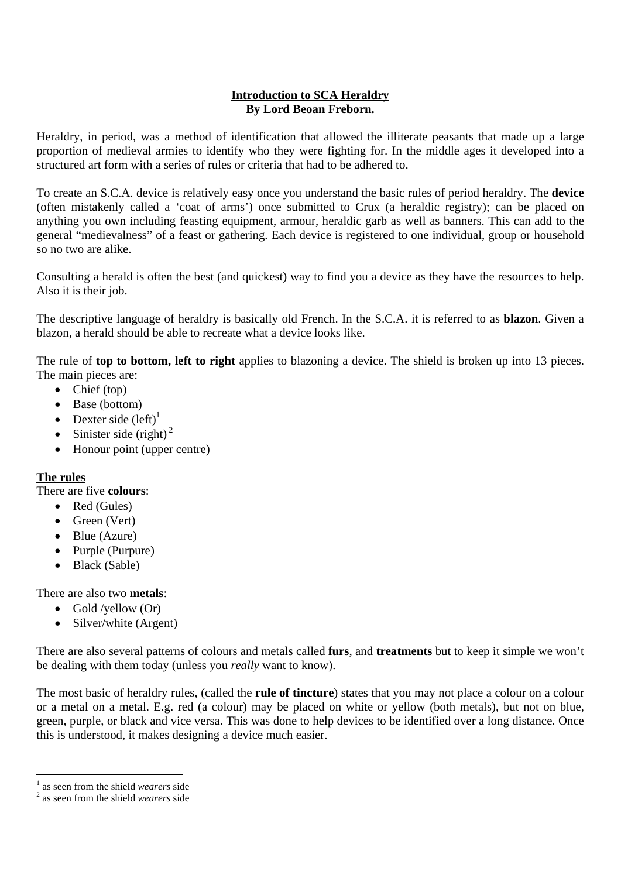## **Introduction to SCA Heraldry By Lord Beoan Freborn.**

Heraldry, in period, was a method of identification that allowed the illiterate peasants that made up a large proportion of medieval armies to identify who they were fighting for. In the middle ages it developed into a structured art form with a series of rules or criteria that had to be adhered to.

To create an S.C.A. device is relatively easy once you understand the basic rules of period heraldry. The **device** (often mistakenly called a 'coat of arms') once submitted to Crux (a heraldic registry); can be placed on anything you own including feasting equipment, armour, heraldic garb as well as banners. This can add to the general "medievalness" of a feast or gathering. Each device is registered to one individual, group or household so no two are alike.

Consulting a herald is often the best (and quickest) way to find you a device as they have the resources to help. Also it is their job.

The descriptive language of heraldry is basically old French. In the S.C.A. it is referred to as **blazon**. Given a blazon, a herald should be able to recreate what a device looks like.

The rule of **top to bottom, left to right** applies to blazoning a device. The shield is broken up into 13 pieces. The main pieces are:

- Chief (top)
- Base (bottom)
- Dexter side  $(\text{left})^1$
- Sinister side (right)<sup>2</sup>
- Honour point (upper centre)

## **The rules**

There are five **colours**:

- Red (Gules)
- Green (Vert)
- Blue (Azure)
- Purple (Purpure)
- Black (Sable)

There are also two **metals**:

- Gold /yellow  $(Or)$
- Silver/white (Argent)

There are also several patterns of colours and metals called **furs**, and **treatments** but to keep it simple we won't be dealing with them today (unless you *really* want to know).

The most basic of heraldry rules, (called the **rule of tincture**) states that you may not place a colour on a colour or a metal on a metal. E.g. red (a colour) may be placed on white or yellow (both metals), but not on blue, green, purple, or black and vice versa. This was done to help devices to be identified over a long distance. Once this is understood, it makes designing a device much easier.

 $\frac{1}{2}$  as seen from the shield *wearers* side

as seen from the shield *wearers* side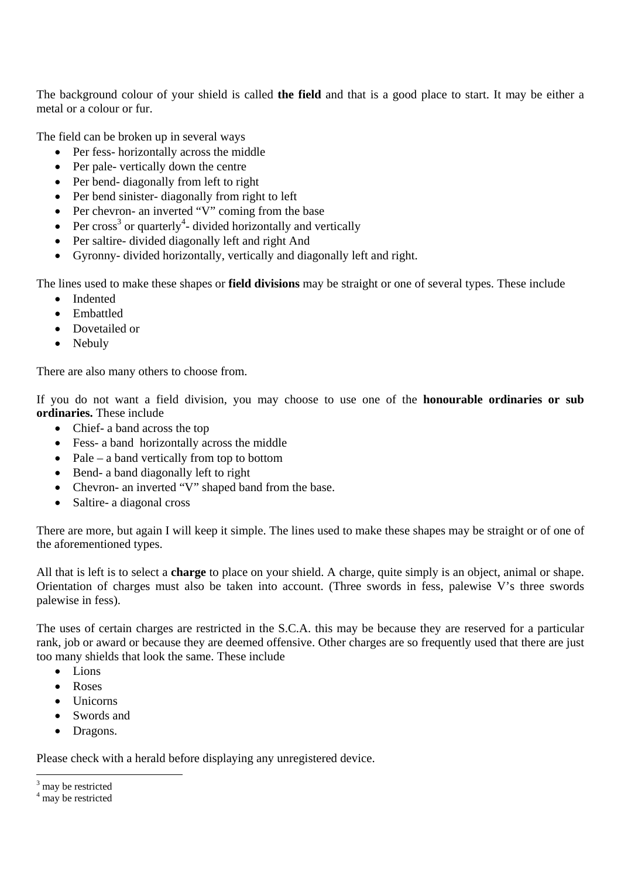The background colour of your shield is called **the field** and that is a good place to start. It may be either a metal or a colour or fur.

The field can be broken up in several ways

- Per fess- horizontally across the middle
- Per pale- vertically down the centre
- Per bend- diagonally from left to right
- Per bend sinister-diagonally from right to left
- Per chevron- an inverted "V" coming from the base
- Per cross<sup>3</sup> or quarterly<sup>4</sup>- divided horizontally and vertically
- Per saltire- divided diagonally left and right And
- Gyronny- divided horizontally, vertically and diagonally left and right.

The lines used to make these shapes or **field divisions** may be straight or one of several types. These include

- Indented
- Embattled
- Dovetailed or
- Nebuly

There are also many others to choose from.

If you do not want a field division, you may choose to use one of the **honourable ordinaries or sub ordinaries.** These include

- Chief- a band across the top
- Fess- a band horizontally across the middle
- Pale a band vertically from top to bottom
- Bend- a band diagonally left to right
- Chevron- an inverted "V" shaped band from the base.
- Saltire- a diagonal cross

There are more, but again I will keep it simple. The lines used to make these shapes may be straight or of one of the aforementioned types.

All that is left is to select a **charge** to place on your shield. A charge, quite simply is an object, animal or shape. Orientation of charges must also be taken into account. (Three swords in fess, palewise V's three swords palewise in fess).

The uses of certain charges are restricted in the S.C.A. this may be because they are reserved for a particular rank, job or award or because they are deemed offensive. Other charges are so frequently used that there are just too many shields that look the same. These include

- $\bullet$  Lions
- Roses
- Unicorns
- Swords and
- Dragons.

Please check with a herald before displaying any unregistered device.

<sup>&</sup>lt;sup>3</sup> may be restricted

<sup>4</sup> may be restricted